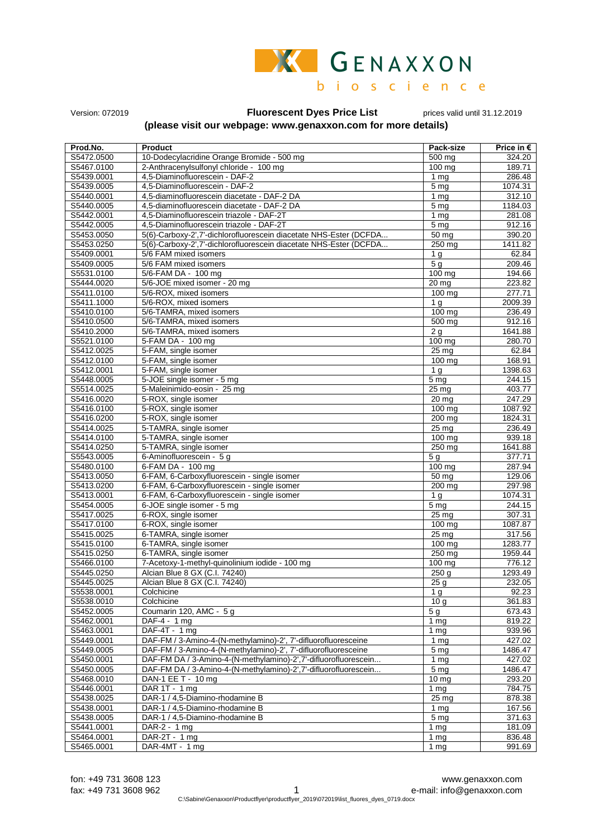

Version: 072019 **Fluorescent Dyes Price List** prices valid until 31.12.2019

## **(please visit our webpage: www.genaxxon.com for more details)**

| Prod.No.                 |                                                                                 |                                    |                     |
|--------------------------|---------------------------------------------------------------------------------|------------------------------------|---------------------|
|                          | <b>Product</b>                                                                  | Pack-size                          | Price in $\epsilon$ |
| S5472.0500               | 10-Dodecylacridine Orange Bromide - 500 mg                                      | 500 mg                             | 324.20              |
| S5467.0100               | 2-Anthracenylsulfonyl chloride - 100 mg                                         | 100 mg                             | 189.71              |
| S5439.0001               | 4.5-Diaminofluorescein - DAF-2                                                  | 1 <sub>mq</sub>                    | 286.48              |
| S5439.0005               | 4,5-Diaminofluorescein - DAF-2                                                  | 5 <sub>mg</sub>                    | 1074.31             |
| S5440.0001<br>S5440.0005 | 4,5-diaminofluorescein diacetate - DAF-2 DA                                     | 1 <sub>mg</sub>                    | 312.10              |
|                          | 4,5-diaminofluorescein diacetate - DAF-2 DA                                     | 5 <sub>mg</sub>                    | 1184.03             |
| S5442.0001               | 4,5-Diaminofluorescein triazole - DAF-2T                                        | 1 <sub>mg</sub>                    | 281.08              |
| S5442.0005               | 4.5-Diaminofluorescein triazole - DAF-2T                                        | 5 <sub>mg</sub>                    | 912.16              |
| S5453.0050               | 5(6)-Carboxy-2',7'-dichlorofluorescein diacetate NHS-Ester (DCFDA               | $\frac{1}{50}$ mg                  | 390.20              |
| S5453.0250               | 5(6)-Carboxy-2',7'-dichlorofluorescein diacetate NHS-Ester (DCFDA               | 250 mg                             | 1411.82             |
| S5409.0001               | 5/6 FAM mixed isomers                                                           | 1 <sub>q</sub>                     | 62.84               |
| S5409.0005               | 5/6 FAM mixed isomers                                                           | 5 <sub>g</sub>                     | 209.46              |
| S5531.0100               | 5/6-FAM DA - 100 mg                                                             | $100$ mg                           | 194.66              |
| S5444.0020               | 5/6-JOE mixed isomer - 20 mg                                                    | $20 \,\mathrm{mg}$                 | 223.82              |
| S5411.0100               | 5/6-ROX, mixed isomers                                                          | 100 mg                             | 277.71              |
| S5411.1000               | 5/6-ROX, mixed isomers                                                          | 1 <sub>a</sub>                     | 2009.39             |
| S5410.0100               | 5/6-TAMRA, mixed isomers                                                        | 100 mg                             | 236.49              |
| S5410.0500               | 5/6-TAMRA, mixed isomers                                                        | $\frac{1}{500}$ mg                 | 912.16              |
| S5410.2000               | 5/6-TAMRA, mixed isomers                                                        | 2 <sub>q</sub>                     | 1641.88             |
| S5521.0100               | 5-FAM DA - 100 mg                                                               | 100 mg                             | 280.70              |
| S5412.0025               | 5-FAM, single isomer                                                            | 25 mg                              | 62.84               |
| S5412.0100               | 5-FAM, single isomer                                                            | $100 \text{ mg}$                   | 168.91              |
| S5412.0001               | 5-FAM, single isomer                                                            | 1 <sub>q</sub>                     | 1398.63             |
| S5448.0005               | 5-JOE single isomer - 5 mg                                                      | 5 <sub>mg</sub>                    | 244.15              |
| S5514.0025               | 5-Maleinimido-eosin - 25 mg                                                     | $25 \,\mathrm{mg}$                 | 403.77              |
| S5416.0020               | 5-ROX, single isomer                                                            | 20 mg                              | 247.29              |
| S5416.0100               | 5-ROX, single isomer                                                            | 100 mg                             | 1087.92             |
| S5416.0200               | 5-ROX, single isomer                                                            | 200 mg                             | 1824.31             |
| S5414.0025               | 5-TAMRA, single isomer                                                          | $25 \overline{mg}$                 | 236.49              |
| S5414.0100               | 5-TAMRA, single isomer                                                          | $100$ mg                           | 939.18              |
| S5414.0250               | 5-TAMRA, single isomer                                                          | 250 mg                             | 1641.88             |
| S5543.0005               | 6-Aminofluorescein - 5 g                                                        | 5 <sub>g</sub>                     | 377.71              |
| S5480.0100               | 6-FAM DA - 100 mg                                                               | 100 mg                             | 287.94              |
| S5413.0050               | 6-FAM, 6-Carboxyfluorescein - single isomer                                     | 50 mg                              | 129.06              |
| S5413.0200               | 6-FAM, 6-Carboxyfluorescein - single isomer                                     | 200 mg                             | 297.98              |
| S5413.0001               | 6-FAM, 6-Carboxyfluorescein - single isomer                                     | 1 <sub>q</sub>                     | 1074.31             |
| S5454.0005               | 6-JOE single isomer - 5 mg                                                      | 5 <sub>mg</sub>                    | 244.15              |
| S5417.0025               | 6-ROX, single isomer                                                            | 25 mg                              | 307.31              |
| S5417.0100               | 6-ROX, single isomer                                                            | 100 mg                             | 1087.87             |
| S5415.0025               | 6-TAMRA, single isomer                                                          | $25 \text{ mg}$                    | 317.56              |
| S5415.0100<br>S5415.0250 | 6-TAMRA, single isomer                                                          | 100 mg                             | 1283.77             |
|                          | 6-TAMRA, single isomer                                                          | 250 mg<br>$100 \,\mathrm{mg}$      | 1959.44             |
| S5466.0100<br>S5445.0250 | 7-Acetoxy-1-methyl-quinolinium iodide - 100 mg<br>Alcian Blue 8 GX (C.I. 74240) | 250 <sub>g</sub>                   | 776.12<br>1293.49   |
| S5445.0025               | Alcian Blue 8 GX (C.I. 74240)                                                   | 25 <sub>q</sub>                    | 232.05              |
| S5538.0001               | Colchicine                                                                      |                                    | 92.23               |
| S5538.0010               | Colchicine                                                                      | 1 <sub>g</sub><br>10 <sub>q</sub>  | 361.83              |
| S5452.0005               | Coumarin 120, AMC - 5 g                                                         | 5g                                 | 673.43              |
| S5462.0001               | DAF-4 - 1 mg                                                                    |                                    | 819.22              |
| S5463.0001               | DAF-4T - 1 mg                                                                   | 1 <sub>mg</sub><br>1 <sub>mg</sub> | 939.96              |
| S5449.0001               | DAF-FM / 3-Amino-4-(N-methylamino)-2', 7'-difluorofluoresceine                  | 1 <sub>mg</sub>                    | 427.02              |
| S5449.0005               | DAF-FM / 3-Amino-4-(N-methylamino)-2', 7'-difluorofluoresceine                  | 5 <sub>mg</sub>                    | 1486.47             |
| S5450.0001               | DAF-FM DA / 3-Amino-4-(N-methylamino)-2',7'-difluorofluorescein                 | $1 \,\mathrm{mg}$                  | 427.02              |
| S5450.0005               | DAF-FM DA / 3-Amino-4-(N-methylamino)-2',7'-difluorofluorescein                 | 5 mg                               | 1486.47             |
| S5468.0010               | DAN-1 EE T - 10 mg                                                              | 10 <sub>mg</sub>                   | 293.20              |
| S5446.0001               | DAR 1T - 1 mg                                                                   | $\overline{1}$ mg                  | 784.75              |
| S5438.0025               | DAR-1 / 4,5-Diamino-rhodamine B                                                 | $25 \,\mathrm{mg}$                 | 878.38              |
| S5438.0001               | DAR-1 / 4,5-Diamino-rhodamine B                                                 | 1 <sub>mg</sub>                    | 167.56              |
| S5438.0005               | DAR-1 / 4,5-Diamino-rhodamine B                                                 | 5 <sub>mg</sub>                    | 371.63              |
| S5441.0001               | DAR-2 - $1$ mg                                                                  | 1 <sub>mg</sub>                    | 181.09              |
| S5464.0001               | DAR-2T - 1 mg                                                                   | 1 <sub>mg</sub>                    | 836.48              |
| S5465.0001               | DAR-4MT - 1 mg                                                                  | 1 <sub>mg</sub>                    | 991.69              |
|                          |                                                                                 |                                    |                     |